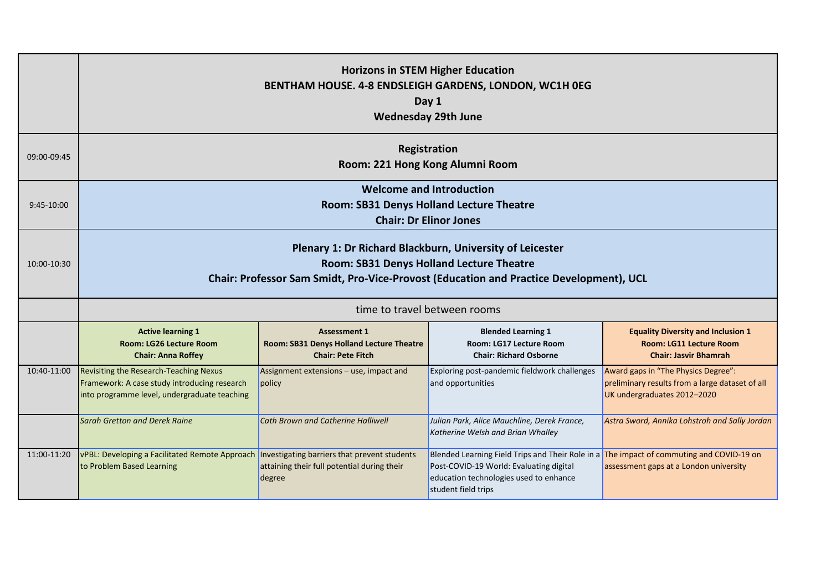|             | <b>Horizons in STEM Higher Education</b><br>BENTHAM HOUSE. 4-8 ENDSLEIGH GARDENS, LONDON, WC1H 0EG<br>Day 1<br><b>Wednesday 29th June</b>                                                                                                                                                                                                                                               |                                                                                                       |                                                                                                                                                                                                      |                                                                                                                       |  |  |
|-------------|-----------------------------------------------------------------------------------------------------------------------------------------------------------------------------------------------------------------------------------------------------------------------------------------------------------------------------------------------------------------------------------------|-------------------------------------------------------------------------------------------------------|------------------------------------------------------------------------------------------------------------------------------------------------------------------------------------------------------|-----------------------------------------------------------------------------------------------------------------------|--|--|
| 09:00-09:45 | Registration<br>Room: 221 Hong Kong Alumni Room                                                                                                                                                                                                                                                                                                                                         |                                                                                                       |                                                                                                                                                                                                      |                                                                                                                       |  |  |
| 9:45-10:00  | <b>Welcome and Introduction</b><br>Room: SB31 Denys Holland Lecture Theatre<br><b>Chair: Dr Elinor Jones</b>                                                                                                                                                                                                                                                                            |                                                                                                       |                                                                                                                                                                                                      |                                                                                                                       |  |  |
| 10:00-10:30 | Plenary 1: Dr Richard Blackburn, University of Leicester<br>Room: SB31 Denys Holland Lecture Theatre<br>Chair: Professor Sam Smidt, Pro-Vice-Provost (Education and Practice Development), UCL                                                                                                                                                                                          |                                                                                                       |                                                                                                                                                                                                      |                                                                                                                       |  |  |
|             | time to travel between rooms                                                                                                                                                                                                                                                                                                                                                            |                                                                                                       |                                                                                                                                                                                                      |                                                                                                                       |  |  |
|             | <b>Active learning 1</b><br><b>Blended Learning 1</b><br><b>Equality Diversity and Inclusion 1</b><br><b>Assessment 1</b><br>Room: LG26 Lecture Room<br><b>Room: SB31 Denys Holland Lecture Theatre</b><br>Room: LG17 Lecture Room<br>Room: LG11 Lecture Room<br><b>Chair: Pete Fitch</b><br><b>Chair: Anna Roffey</b><br><b>Chair: Richard Osborne</b><br><b>Chair: Jasvir Bhamrah</b> |                                                                                                       |                                                                                                                                                                                                      |                                                                                                                       |  |  |
| 10:40-11:00 | Revisiting the Research-Teaching Nexus<br>Framework: A case study introducing research<br>into programme level, undergraduate teaching                                                                                                                                                                                                                                                  | Assignment extensions - use, impact and<br>policy                                                     | Exploring post-pandemic fieldwork challenges<br>and opportunities                                                                                                                                    | Award gaps in "The Physics Degree":<br>preliminary results from a large dataset of all<br>UK undergraduates 2012-2020 |  |  |
|             | <b>Sarah Gretton and Derek Raine</b>                                                                                                                                                                                                                                                                                                                                                    | Cath Brown and Catherine Halliwell                                                                    | Julian Park, Alice Mauchline, Derek France,<br>Katherine Welsh and Brian Whalley                                                                                                                     | Astra Sword, Annika Lohstroh and Sally Jordan                                                                         |  |  |
| 11:00-11:20 | vPBL: Developing a Facilitated Remote Approach<br>to Problem Based Learning                                                                                                                                                                                                                                                                                                             | Investigating barriers that prevent students<br>attaining their full potential during their<br>degree | Blended Learning Field Trips and Their Role in a The impact of commuting and COVID-19 on<br>Post-COVID-19 World: Evaluating digital<br>education technologies used to enhance<br>student field trips | assessment gaps at a London university                                                                                |  |  |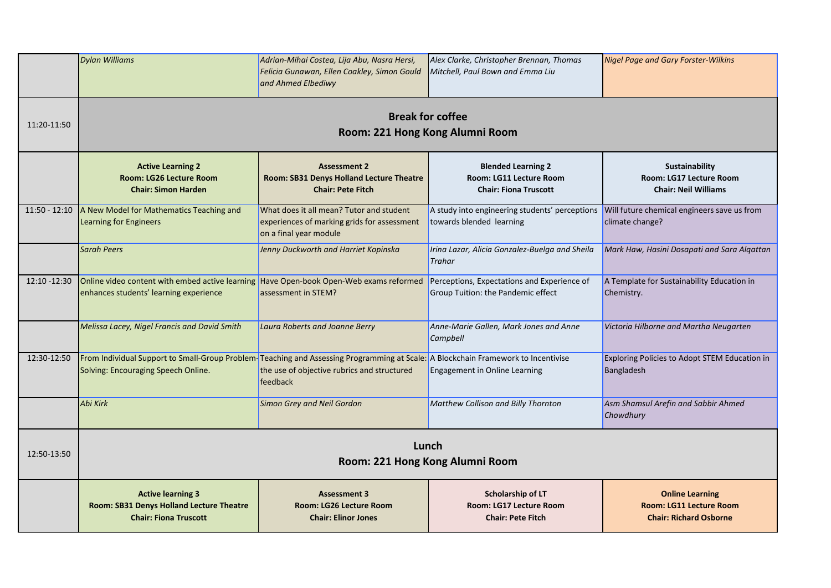|                 | <b>Dylan Williams</b>                                                                                                                                                    | Adrian-Mihai Costea, Lija Abu, Nasra Hersi,<br>Felicia Gunawan, Ellen Coakley, Simon Gould<br>and Ahmed Elbediwy  | Alex Clarke, Christopher Brennan, Thomas<br>Mitchell, Paul Bown and Emma Liu         | <b>Nigel Page and Gary Forster-Wilkins</b>                                                |
|-----------------|--------------------------------------------------------------------------------------------------------------------------------------------------------------------------|-------------------------------------------------------------------------------------------------------------------|--------------------------------------------------------------------------------------|-------------------------------------------------------------------------------------------|
| 11:20-11:50     | <b>Break for coffee</b><br>Room: 221 Hong Kong Alumni Room                                                                                                               |                                                                                                                   |                                                                                      |                                                                                           |
|                 | <b>Active Learning 2</b><br>Room: LG26 Lecture Room<br><b>Chair: Simon Harden</b>                                                                                        | <b>Assessment 2</b><br>Room: SB31 Denys Holland Lecture Theatre<br><b>Chair: Pete Fitch</b>                       | <b>Blended Learning 2</b><br>Room: LG11 Lecture Room<br><b>Chair: Fiona Truscott</b> | <b>Sustainability</b><br>Room: LG17 Lecture Room<br><b>Chair: Neil Williams</b>           |
| $11:50 - 12:10$ | A New Model for Mathematics Teaching and<br>Learning for Engineers                                                                                                       | What does it all mean? Tutor and student<br>experiences of marking grids for assessment<br>on a final year module | A study into engineering students' perceptions<br>towards blended learning           | Will future chemical engineers save us from<br>climate change?                            |
|                 | <b>Sarah Peers</b>                                                                                                                                                       | Jenny Duckworth and Harriet Kopinska                                                                              | Irina Lazar, Alicia Gonzalez-Buelga and Sheila<br><b>Trahar</b>                      | Mark Haw, Hasini Dosapati and Sara Alqattan                                               |
| 12:10 -12:30    | Online video content with embed active learning Have Open-book Open-Web exams reformed<br>enhances students' learning experience                                         | assessment in STEM?                                                                                               | Perceptions, Expectations and Experience of<br>Group Tuition: the Pandemic effect    | A Template for Sustainability Education in<br>Chemistry.                                  |
|                 | Melissa Lacey, Nigel Francis and David Smith                                                                                                                             | Laura Roberts and Joanne Berry                                                                                    | Anne-Marie Gallen, Mark Jones and Anne<br>Campbell                                   | Victoria Hilborne and Martha Neugarten                                                    |
| 12:30-12:50     | From Individual Support to Small-Group Problem-Teaching and Assessing Programming at Scale: A Blockchain Framework to Incentivise<br>Solving: Encouraging Speech Online. | the use of objective rubrics and structured<br>feedback                                                           | <b>Engagement in Online Learning</b>                                                 | Exploring Policies to Adopt STEM Education in<br>Bangladesh                               |
|                 | Abi Kirk                                                                                                                                                                 | <b>Simon Grey and Neil Gordon</b>                                                                                 | Matthew Collison and Billy Thornton                                                  | Asm Shamsul Arefin and Sabbir Ahmed<br>Chowdhury                                          |
| 12:50-13:50     | Lunch<br>Room: 221 Hong Kong Alumni Room                                                                                                                                 |                                                                                                                   |                                                                                      |                                                                                           |
|                 | <b>Active learning 3</b><br>Room: SB31 Denys Holland Lecture Theatre<br><b>Chair: Fiona Truscott</b>                                                                     | <b>Assessment 3</b><br>Room: LG26 Lecture Room<br><b>Chair: Elinor Jones</b>                                      | Scholarship of LT<br>Room: LG17 Lecture Room<br><b>Chair: Pete Fitch</b>             | <b>Online Learning</b><br><b>Room: LG11 Lecture Room</b><br><b>Chair: Richard Osborne</b> |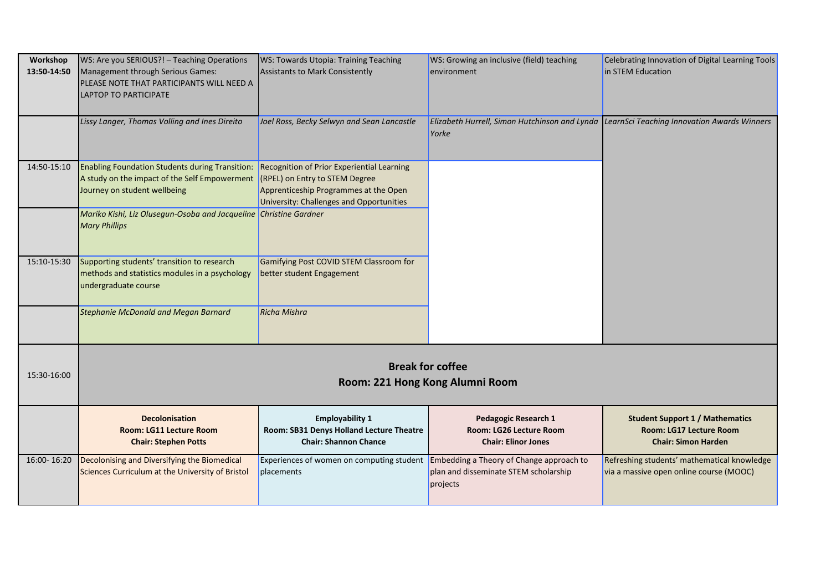| Workshop<br>13:50-14:50 | WS: Are you SERIOUS?! - Teaching Operations<br>Management through Serious Games:<br>PLEASE NOTE THAT PARTICIPANTS WILL NEED A<br><b>LAPTOP TO PARTICIPATE</b>   | WS: Towards Utopia: Training Teaching<br><b>Assistants to Mark Consistently</b>                                                        | WS: Growing an inclusive (field) teaching<br>environment                                           | Celebrating Innovation of Digital Learning Tools<br>in STEM Education                           |
|-------------------------|-----------------------------------------------------------------------------------------------------------------------------------------------------------------|----------------------------------------------------------------------------------------------------------------------------------------|----------------------------------------------------------------------------------------------------|-------------------------------------------------------------------------------------------------|
|                         | Lissy Langer, Thomas Volling and Ines Direito                                                                                                                   | Joel Ross, Becky Selwyn and Sean Lancastle                                                                                             | Elizabeth Hurrell, Simon Hutchinson and Lynda LearnSci Teaching Innovation Awards Winners<br>Yorke |                                                                                                 |
| 14:50-15:10             | Enabling Foundation Students during Transition:<br>A study on the impact of the Self Empowerment (RPEL) on Entry to STEM Degree<br>Journey on student wellbeing | Recognition of Prior Experiential Learning<br>Apprenticeship Programmes at the Open<br><b>University: Challenges and Opportunities</b> |                                                                                                    |                                                                                                 |
|                         | Mariko Kishi, Liz Olusegun-Osoba and Jacqueline Christine Gardner<br><b>Mary Phillips</b>                                                                       |                                                                                                                                        |                                                                                                    |                                                                                                 |
| 15:10-15:30             | Supporting students' transition to research<br>methods and statistics modules in a psychology<br>undergraduate course                                           | Gamifying Post COVID STEM Classroom for<br>better student Engagement                                                                   |                                                                                                    |                                                                                                 |
|                         | <b>Stephanie McDonald and Megan Barnard</b>                                                                                                                     | <b>Richa Mishra</b>                                                                                                                    |                                                                                                    |                                                                                                 |
| 15:30-16:00             | <b>Break for coffee</b><br>Room: 221 Hong Kong Alumni Room                                                                                                      |                                                                                                                                        |                                                                                                    |                                                                                                 |
|                         | <b>Decolonisation</b><br>Room: LG11 Lecture Room<br><b>Chair: Stephen Potts</b>                                                                                 | <b>Employability 1</b><br>Room: SB31 Denys Holland Lecture Theatre<br><b>Chair: Shannon Chance</b>                                     | <b>Pedagogic Research 1</b><br>Room: LG26 Lecture Room<br><b>Chair: Elinor Jones</b>               | <b>Student Support 1 / Mathematics</b><br>Room: LG17 Lecture Room<br><b>Chair: Simon Harden</b> |
| 16:00-16:20             | Decolonising and Diversifying the Biomedical<br>Sciences Curriculum at the University of Bristol                                                                | Experiences of women on computing student<br>placements                                                                                | Embedding a Theory of Change approach to<br>plan and disseminate STEM scholarship<br>projects      | Refreshing students' mathematical knowledge<br>via a massive open online course (MOOC)          |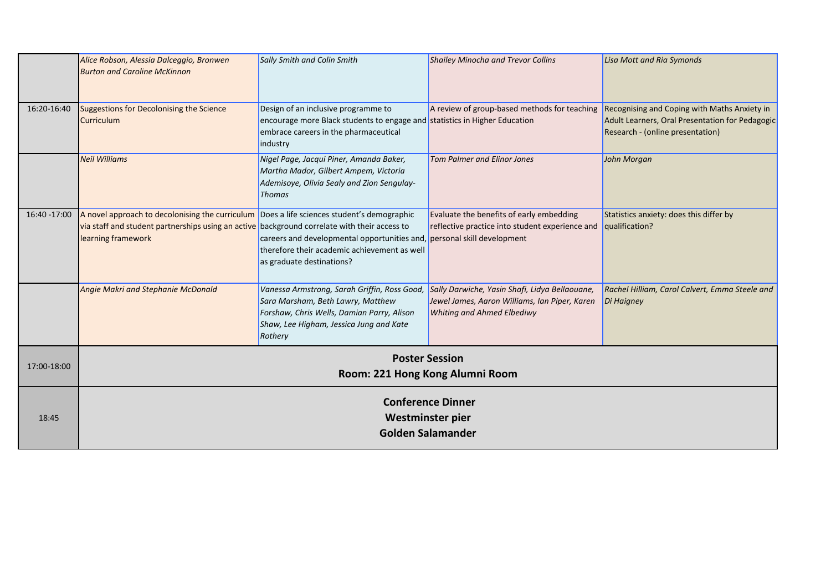|              | Alice Robson, Alessia Dalceggio, Bronwen<br><b>Burton and Caroline McKinnon</b>                                                                                                                                  | Sally Smith and Colin Smith                                                                                                                                                           | <b>Shailey Minocha and Trevor Collins</b>                                                                                            | <b>Lisa Mott and Ria Symonds</b>                                                                                                    |
|--------------|------------------------------------------------------------------------------------------------------------------------------------------------------------------------------------------------------------------|---------------------------------------------------------------------------------------------------------------------------------------------------------------------------------------|--------------------------------------------------------------------------------------------------------------------------------------|-------------------------------------------------------------------------------------------------------------------------------------|
| 16:20-16:40  | <b>Suggestions for Decolonising the Science</b><br>Curriculum                                                                                                                                                    | Design of an inclusive programme to<br>encourage more Black students to engage and statistics in Higher Education<br>embrace careers in the pharmaceutical<br>industry                | A review of group-based methods for teaching                                                                                         | Recognising and Coping with Maths Anxiety in<br>Adult Learners, Oral Presentation for Pedagogic<br>Research - (online presentation) |
|              | <b>Neil Williams</b>                                                                                                                                                                                             | Nigel Page, Jacqui Piner, Amanda Baker,<br>Martha Mador, Gilbert Ampem, Victoria<br>Ademisoye, Olivia Sealy and Zion Sengulay-<br><b>Thomas</b>                                       | <b>Tom Palmer and Elinor Jones</b>                                                                                                   | John Morgan                                                                                                                         |
| 16:40 -17:00 | A novel approach to decolonising the curriculum Does a life sciences student's demographic<br>via staff and student partnerships using an active background correlate with their access to<br>learning framework | careers and developmental opportunities and,<br>therefore their academic achievement as well<br>as graduate destinations?                                                             | Evaluate the benefits of early embedding<br>reflective practice into student experience and<br>personal skill development            | Statistics anxiety: does this differ by<br>qualification?                                                                           |
|              | <b>Angie Makri and Stephanie McDonald</b>                                                                                                                                                                        | Vanessa Armstrong, Sarah Griffin, Ross Good,<br>Sara Marsham, Beth Lawry, Matthew<br>Forshaw, Chris Wells, Damian Parry, Alison<br>Shaw, Lee Higham, Jessica Jung and Kate<br>Rothery | Sally Darwiche, Yasin Shafi, Lidya Bellaouane,<br>Jewel James, Aaron Williams, Ian Piper, Karen<br><b>Whiting and Ahmed Elbediwy</b> | Rachel Hilliam, Carol Calvert, Emma Steele and<br>Di Haigney                                                                        |
| 17:00-18:00  | <b>Poster Session</b><br>Room: 221 Hong Kong Alumni Room                                                                                                                                                         |                                                                                                                                                                                       |                                                                                                                                      |                                                                                                                                     |
| 18:45        | <b>Conference Dinner</b><br>Westminster pier<br><b>Golden Salamander</b>                                                                                                                                         |                                                                                                                                                                                       |                                                                                                                                      |                                                                                                                                     |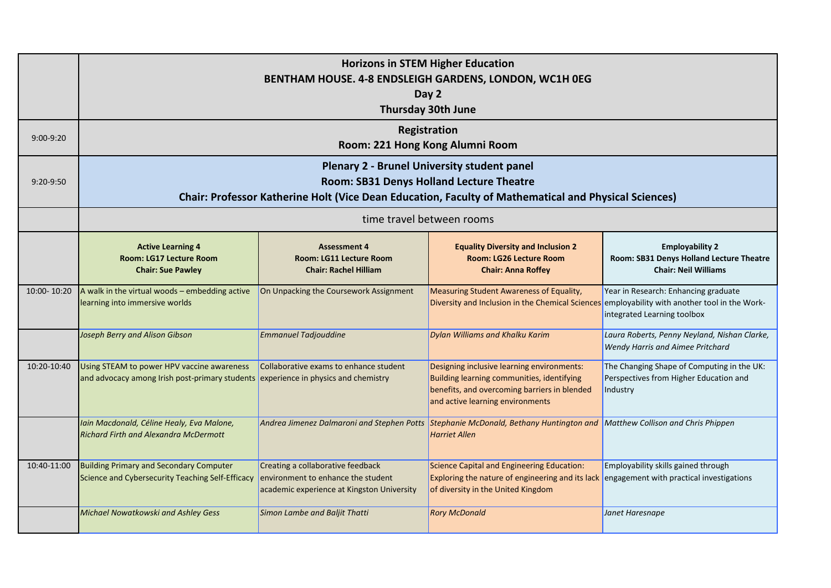| 9:00-9:20   | <b>Horizons in STEM Higher Education</b><br>BENTHAM HOUSE. 4-8 ENDSLEIGH GARDENS, LONDON, WC1H 0EG<br>Day 2<br><b>Thursday 30th June</b><br>Registration<br>Room: 221 Hong Kong Alumni Room     |                                                                                                                       |                                                                                                                                                                              |                                                                                                   |
|-------------|-------------------------------------------------------------------------------------------------------------------------------------------------------------------------------------------------|-----------------------------------------------------------------------------------------------------------------------|------------------------------------------------------------------------------------------------------------------------------------------------------------------------------|---------------------------------------------------------------------------------------------------|
| 9:20-9:50   | Plenary 2 - Brunel University student panel<br>Room: SB31 Denys Holland Lecture Theatre<br>Chair: Professor Katherine Holt (Vice Dean Education, Faculty of Mathematical and Physical Sciences) |                                                                                                                       |                                                                                                                                                                              |                                                                                                   |
|             |                                                                                                                                                                                                 |                                                                                                                       | time travel between rooms                                                                                                                                                    |                                                                                                   |
|             | <b>Active Learning 4</b><br>Room: LG17 Lecture Room<br><b>Chair: Sue Pawley</b>                                                                                                                 | <b>Assessment 4</b><br>Room: LG11 Lecture Room<br><b>Chair: Rachel Hilliam</b>                                        | <b>Equality Diversity and Inclusion 2</b><br>Room: LG26 Lecture Room<br><b>Chair: Anna Roffey</b>                                                                            | <b>Employability 2</b><br>Room: SB31 Denys Holland Lecture Theatre<br><b>Chair: Neil Williams</b> |
| 10:00-10:20 | A walk in the virtual woods $-$ embedding active<br>learning into immersive worlds                                                                                                              | On Unpacking the Coursework Assignment                                                                                | Measuring Student Awareness of Equality,<br>Diversity and Inclusion in the Chemical Sciences employability with another tool in the Work-                                    | Year in Research: Enhancing graduate<br>integrated Learning toolbox                               |
|             | <b>Joseph Berry and Alison Gibson</b>                                                                                                                                                           | <b>Emmanuel Tadjouddine</b>                                                                                           | <b>Dylan Williams and Khalku Karim</b>                                                                                                                                       | Laura Roberts, Penny Neyland, Nishan Clarke,<br>Wendy Harris and Aimee Pritchard                  |
| 10:20-10:40 | Using STEAM to power HPV vaccine awareness<br>and advocacy among Irish post-primary students experience in physics and chemistry                                                                | Collaborative exams to enhance student                                                                                | Designing inclusive learning environments:<br>Building learning communities, identifying<br>benefits, and overcoming barriers in blended<br>and active learning environments | The Changing Shape of Computing in the UK:<br>Perspectives from Higher Education and<br>Industry  |
|             | Iain Macdonald, Céline Healy, Eva Malone,<br><b>Richard Firth and Alexandra McDermott</b>                                                                                                       | Andrea Jimenez Dalmaroni and Stephen Potts                                                                            | Stephanie McDonald, Bethany Huntington and<br><b>Harriet Allen</b>                                                                                                           | Matthew Collison and Chris Phippen                                                                |
| 10:40-11:00 | <b>Building Primary and Secondary Computer</b><br>Science and Cybersecurity Teaching Self-Efficacy                                                                                              | Creating a collaborative feedback<br>environment to enhance the student<br>academic experience at Kingston University | Science Capital and Engineering Education:<br>Exploring the nature of engineering and its lack<br>of diversity in the United Kingdom                                         | Employability skills gained through<br>engagement with practical investigations                   |
|             | Michael Nowatkowski and Ashley Gess                                                                                                                                                             | Simon Lambe and Baljit Thatti                                                                                         | <b>Rory McDonald</b>                                                                                                                                                         | Janet Haresnape                                                                                   |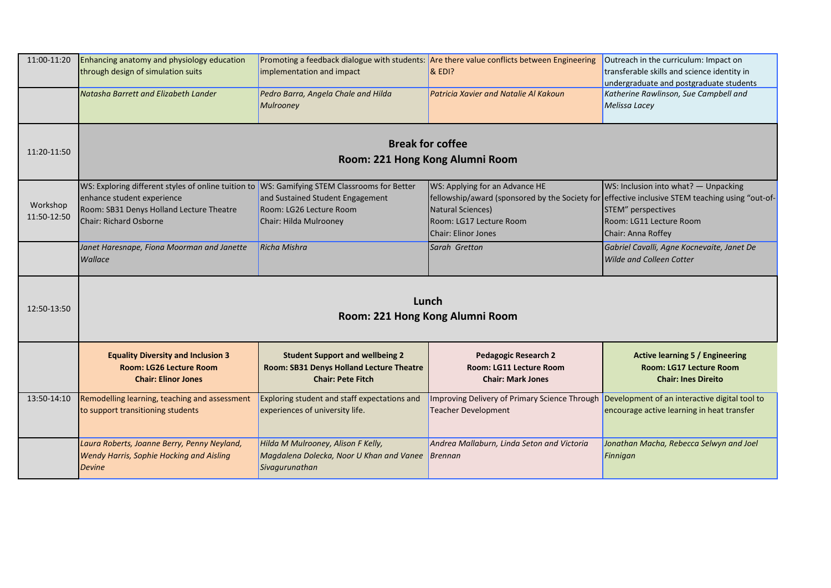| 11:00-11:20 | Enhancing anatomy and physiology education                                                   |                                              | Promoting a feedback dialogue with students: Are there value conflicts between Engineering    | Outreach in the curriculum: Impact on                                                           |
|-------------|----------------------------------------------------------------------------------------------|----------------------------------------------|-----------------------------------------------------------------------------------------------|-------------------------------------------------------------------------------------------------|
|             | through design of simulation suits                                                           | implementation and impact                    | & EDI?                                                                                        | transferable skills and science identity in                                                     |
|             |                                                                                              |                                              |                                                                                               | undergraduate and postgraduate students                                                         |
|             | Natasha Barrett and Elizabeth Lander                                                         | Pedro Barra, Angela Chale and Hilda          | Patricia Xavier and Natalie Al Kakoun                                                         | Katherine Rawlinson, Sue Campbell and                                                           |
|             |                                                                                              | Mulrooney                                    |                                                                                               | Melissa Lacey                                                                                   |
|             |                                                                                              |                                              |                                                                                               |                                                                                                 |
|             |                                                                                              | <b>Break for coffee</b>                      |                                                                                               |                                                                                                 |
| 11:20-11:50 |                                                                                              | Room: 221 Hong Kong Alumni Room              |                                                                                               |                                                                                                 |
|             |                                                                                              |                                              |                                                                                               |                                                                                                 |
|             | WS: Exploring different styles of online tuition to WS: Gamifying STEM Classrooms for Better |                                              | WS: Applying for an Advance HE                                                                | WS: Inclusion into what? - Unpacking                                                            |
| Workshop    | enhance student experience                                                                   | and Sustained Student Engagement             |                                                                                               | fellowship/award (sponsored by the Society for effective inclusive STEM teaching using "out-of- |
| 11:50-12:50 | Room: SB31 Denys Holland Lecture Theatre                                                     | Room: LG26 Lecture Room                      | Natural Sciences)                                                                             | STEM" perspectives                                                                              |
|             | Chair: Richard Osborne                                                                       | Chair: Hilda Mulrooney                       | Room: LG17 Lecture Room                                                                       | Room: LG11 Lecture Room                                                                         |
|             |                                                                                              |                                              | <b>Chair: Elinor Jones</b>                                                                    | Chair: Anna Roffey                                                                              |
|             | Janet Haresnape, Fiona Moorman and Janette                                                   | <b>Richa Mishra</b>                          | Sarah Gretton                                                                                 | Gabriel Cavalli, Agne Kocnevaite, Janet De                                                      |
|             | Wallace                                                                                      |                                              |                                                                                               | <b>Wilde and Colleen Cotter</b>                                                                 |
|             |                                                                                              |                                              |                                                                                               |                                                                                                 |
|             |                                                                                              |                                              |                                                                                               |                                                                                                 |
| 12:50-13:50 |                                                                                              | Lunch                                        |                                                                                               |                                                                                                 |
|             |                                                                                              | Room: 221 Hong Kong Alumni Room              |                                                                                               |                                                                                                 |
|             |                                                                                              |                                              |                                                                                               |                                                                                                 |
|             | <b>Equality Diversity and Inclusion 3</b>                                                    | <b>Student Support and wellbeing 2</b>       | <b>Pedagogic Research 2</b>                                                                   | <b>Active learning 5 / Engineering</b>                                                          |
|             | <b>Room: LG26 Lecture Room</b>                                                               | Room: SB31 Denys Holland Lecture Theatre     | <b>Room: LG11 Lecture Room</b>                                                                | <b>Room: LG17 Lecture Room</b>                                                                  |
|             | <b>Chair: Elinor Jones</b>                                                                   | <b>Chair: Pete Fitch</b>                     | <b>Chair: Mark Jones</b>                                                                      | <b>Chair: Ines Direito</b>                                                                      |
|             |                                                                                              |                                              |                                                                                               |                                                                                                 |
| 13:50-14:10 | Remodelling learning, teaching and assessment                                                | Exploring student and staff expectations and | Improving Delivery of Primary Science Through   Development of an interactive digital tool to |                                                                                                 |
|             | to support transitioning students                                                            | experiences of university life.              | <b>Teacher Development</b>                                                                    | encourage active learning in heat transfer                                                      |
|             |                                                                                              |                                              |                                                                                               |                                                                                                 |
|             | Laura Roberts, Joanne Berry, Penny Neyland,                                                  | Hilda M Mulrooney, Alison F Kelly,           | Andrea Mallaburn, Linda Seton and Victoria                                                    | Jonathan Macha, Rebecca Selwyn and Joel                                                         |
|             | Wendy Harris, Sophie Hocking and Aisling                                                     | Magdalena Dolecka, Noor U Khan and Vanee     | Brennan                                                                                       | Finnigan                                                                                        |
|             | <b>Devine</b>                                                                                | Sivagurunathan                               |                                                                                               |                                                                                                 |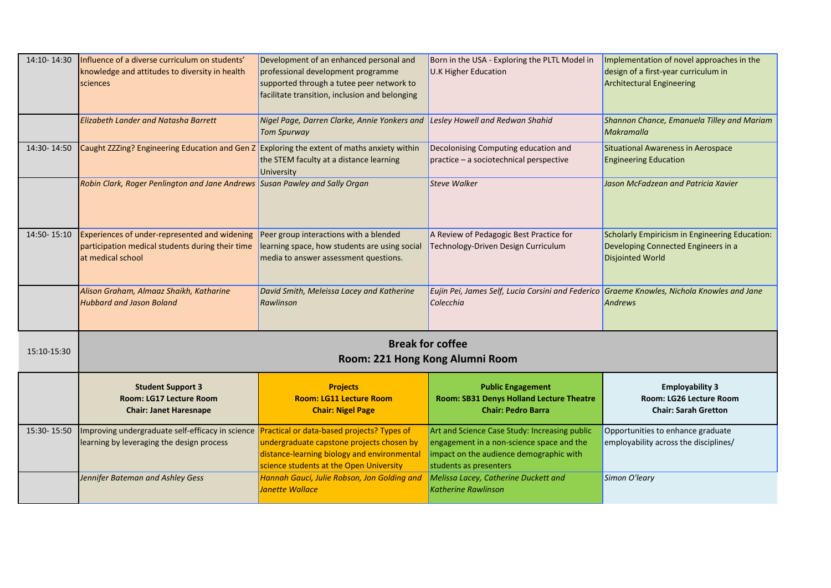| 14:10-14:30 | Influence of a diverse curriculum on students'<br>knowledge and attitudes to diversity in health<br>sciences<br>Elizabeth Lander and Natasha Barrett | Development of an enhanced personal and<br>professional development programme<br>supported through a tutee peer network to<br>facilitate transition, inclusion and belonging<br>Nigel Page, Darren Clarke, Annie Yonkers and<br><b>Tom Spurway</b> | Born in the USA - Exploring the PLTL Model in<br><b>U.K Higher Education</b><br>Lesley Howell and Redwan Shahid                                                 | Implementation of novel approaches in the<br>design of a first-year curriculum in<br><b>Architectural Engineering</b><br>Shannon Chance, Emanuela Tilley and Mariam<br><b>Makramalla</b> |
|-------------|------------------------------------------------------------------------------------------------------------------------------------------------------|----------------------------------------------------------------------------------------------------------------------------------------------------------------------------------------------------------------------------------------------------|-----------------------------------------------------------------------------------------------------------------------------------------------------------------|------------------------------------------------------------------------------------------------------------------------------------------------------------------------------------------|
| 14:30-14:50 | Caught ZZZing? Engineering Education and Gen Z Exploring the extent of maths anxiety within                                                          | the STEM faculty at a distance learning<br>University                                                                                                                                                                                              | Decolonising Computing education and<br>practice - a sociotechnical perspective                                                                                 | Situational Awareness in Aerospace<br><b>Engineering Education</b>                                                                                                                       |
|             | Robin Clark, Roger Penlington and Jane Andrews Susan Pawley and Sally Organ                                                                          |                                                                                                                                                                                                                                                    | <b>Steve Walker</b>                                                                                                                                             | Jason McFadzean and Patricia Xavier                                                                                                                                                      |
| 14:50-15:10 | Experiences of under-represented and widening<br>participation medical students during their time<br>at medical school                               | Peer group interactions with a blended<br>learning space, how students are using social<br>media to answer assessment questions.                                                                                                                   | A Review of Pedagogic Best Practice for<br>Technology-Driven Design Curriculum                                                                                  | Scholarly Empiricism in Engineering Education:<br>Developing Connected Engineers in a<br><b>Disjointed World</b>                                                                         |
|             | Alison Graham, Almaaz Shaikh, Katharine<br><b>Hubbard and Jason Boland</b>                                                                           | David Smith, Meleissa Lacey and Katherine<br>Rawlinson                                                                                                                                                                                             | Eujin Pei, James Self, Lucia Corsini and Federico<br>Colecchia                                                                                                  | Graeme Knowles, Nichola Knowles and Jane<br>Andrews                                                                                                                                      |
| 15:10-15:30 | <b>Break for coffee</b><br>Room: 221 Hong Kong Alumni Room                                                                                           |                                                                                                                                                                                                                                                    |                                                                                                                                                                 |                                                                                                                                                                                          |
|             | <b>Student Support 3</b><br>Room: LG17 Lecture Room<br><b>Chair: Janet Haresnape</b>                                                                 | <b>Projects</b><br><b>Room: LG11 Lecture Room</b><br><b>Chair: Nigel Page</b>                                                                                                                                                                      | <b>Public Engagement</b><br>Room: SB31 Denys Holland Lecture Theatre<br><b>Chair: Pedro Barra</b>                                                               | <b>Employability 3</b><br>Room: LG26 Lecture Room<br><b>Chair: Sarah Gretton</b>                                                                                                         |
| 15:30-15:50 | Improving undergraduate self-efficacy in science Practical or data-based projects? Types of<br>learning by leveraging the design process             | undergraduate capstone projects chosen by<br>distance-learning biology and environmental<br>science students at the Open University                                                                                                                | Art and Science Case Study: Increasing public<br>engagement in a non-science space and the<br>impact on the audience demographic with<br>students as presenters | Opportunities to enhance graduate<br>employability across the disciplines/                                                                                                               |
|             | Jennifer Bateman and Ashley Gess                                                                                                                     | Hannah Gauci, Julie Robson, Jon Golding and<br><b>Janette Wallace</b>                                                                                                                                                                              | Melissa Lacey, Catherine Duckett and<br><b>Katherine Rawlinson</b>                                                                                              | Simon O'leary                                                                                                                                                                            |